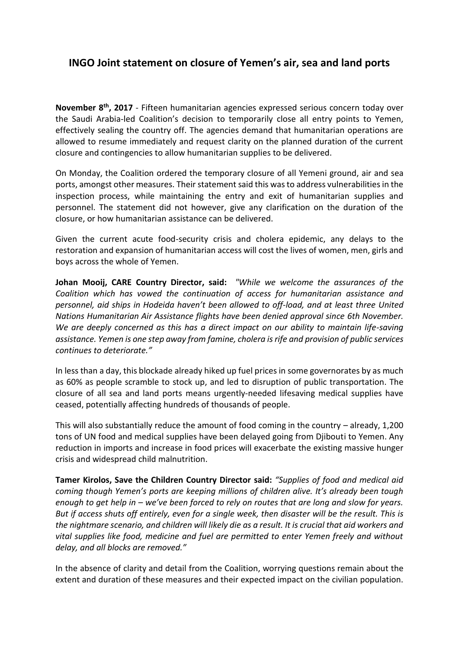## **INGO Joint statement on closure of Yemen's air, sea and land ports**

**November 8th, 2017** - Fifteen humanitarian agencies expressed serious concern today over the Saudi Arabia-led Coalition's decision to temporarily close all entry points to Yemen, effectively sealing the country off. The agencies demand that humanitarian operations are allowed to resume immediately and request clarity on the planned duration of the current closure and contingencies to allow humanitarian supplies to be delivered.

On Monday, the Coalition ordered the temporary closure of all Yemeni ground, air and sea ports, amongst other measures. Their statement said this was to address vulnerabilities in the inspection process, while maintaining the entry and exit of humanitarian supplies and personnel. The statement did not however, give any clarification on the duration of the closure, or how humanitarian assistance can be delivered.

Given the current acute food-security crisis and cholera epidemic, any delays to the restoration and expansion of humanitarian access will cost the lives of women, men, girls and boys across the whole of Yemen.

**Johan Mooij, CARE Country Director, said:** *"While we welcome the assurances of the Coalition which has vowed the continuation of access for humanitarian assistance and personnel, aid ships in Hodeida haven't been allowed to off-load, and at least three United Nations Humanitarian Air Assistance flights have been denied approval since 6th November. We are deeply concerned as this has a direct impact on our ability to maintain life-saving assistance. Yemen is one step away from famine, cholera is rife and provision of public services continues to deteriorate."*

In less than a day, this blockade already hiked up fuel prices in some governorates by as much as 60% as people scramble to stock up, and led to disruption of public transportation. The closure of all sea and land ports means urgently-needed lifesaving medical supplies have ceased, potentially affecting hundreds of thousands of people.

This will also substantially reduce the amount of food coming in the country – already, 1,200 tons of UN food and medical supplies have been delayed going from Djibouti to Yemen. Any reduction in imports and increase in food prices will exacerbate the existing massive hunger crisis and widespread child malnutrition.

**Tamer Kirolos, Save the Children Country Director said:** *"Supplies of food and medical aid coming though Yemen's ports are keeping millions of children alive. It's already been tough enough to get help in – we've been forced to rely on routes that are long and slow for years. But if access shuts off entirely, even for a single week, then disaster will be the result. This is the nightmare scenario, and children will likely die as a result. It is crucial that aid workers and vital supplies like food, medicine and fuel are permitted to enter Yemen freely and without delay, and all blocks are removed."*

In the absence of clarity and detail from the Coalition, worrying questions remain about the extent and duration of these measures and their expected impact on the civilian population.